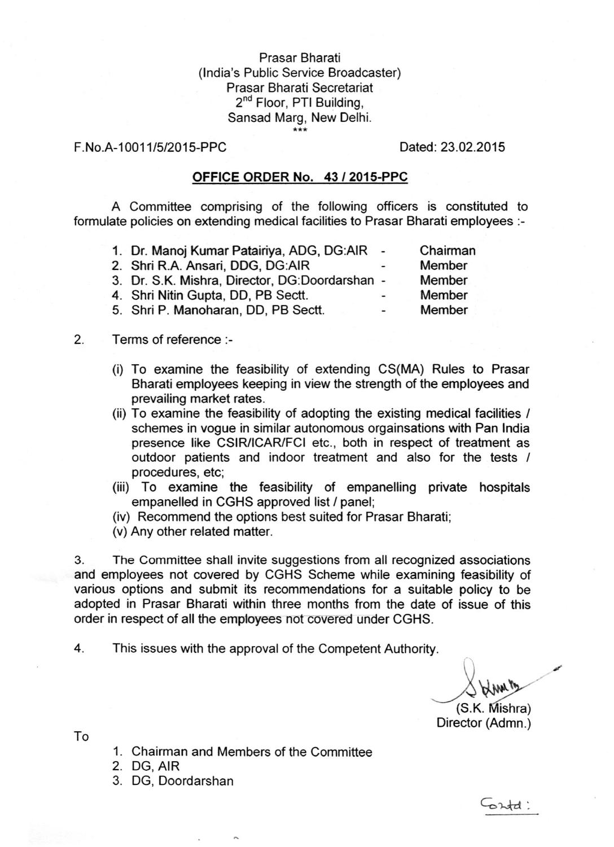## Prasar Bharati (India's Public Service Broadcaster) Prasar Bharati Secretariat 2<sup>nd</sup> Floor, PTI Building Sansad Marg, New Delhi. \*\*\*

## F.No.A-10011/5/2015-PPC Dated: 23.02.2015

## OFFICE ORDER No. 43 *I* 2015-PPC

A Committee comprising of the following officers is constituted to formulate policies on extending medical facilities to Prasar Bharati employees :-

| 1. Dr. Manoj Kumar Patairiya, ADG, DG:AIR -    |                          | Chairman      |
|------------------------------------------------|--------------------------|---------------|
| 2. Shri R.A. Ansari, DDG, DG:AIR               | $\overline{\phantom{a}}$ | Member        |
| 3. Dr. S.K. Mishra, Director, DG:Doordarshan - |                          | <b>Member</b> |
| 4. Shri Nitin Gupta, DD, PB Sectt.             | -                        | Member        |
| 5. Shri P. Manoharan, DD, PB Sectt.            | $\overline{\phantom{0}}$ | Member        |

## 2. Terms of reference :-

- (i) To examine the feasibility of extending CS(MA) Rules to Prasar Bharati employees keeping in view the strength of the employees and prevailing market rates.
- (ii) To examine the feasibility of adopting the existing medical facilities / schemes in vogue in similar autonomous orgainsations with Pan India presence like CSIR/ICAR/FCI etc., both in respect of treatment as outdoor patients and indoor treatment and also for the tests *I* procedures, etc;
- (iii) To examine the feasibility of empanelling private hospitals empanelled in CGHS approved list / panel;
- (iv) Recommend the options best suited for Prasar Bharati;

(v) Any other related matter.

3. The Committee shall invite suggestions from all recognized associations and employees not covered by CGHS Scheme while examining feasibility of various options and submit its recommendations for a suitable policy to be adopted in Prasar Bharati within three months from the date of issue of this order in respect of all the employees not covered under CGHS.

4. This issues with the approval of the Competent Authority.

 $\bigvee_{(S.K. Mishra)}$ 

ortd:

Director (Admn.)

To

- 1. Chairman and Members of the Committee
- 2. DG, AIR
- 3. DG, Doordarshan